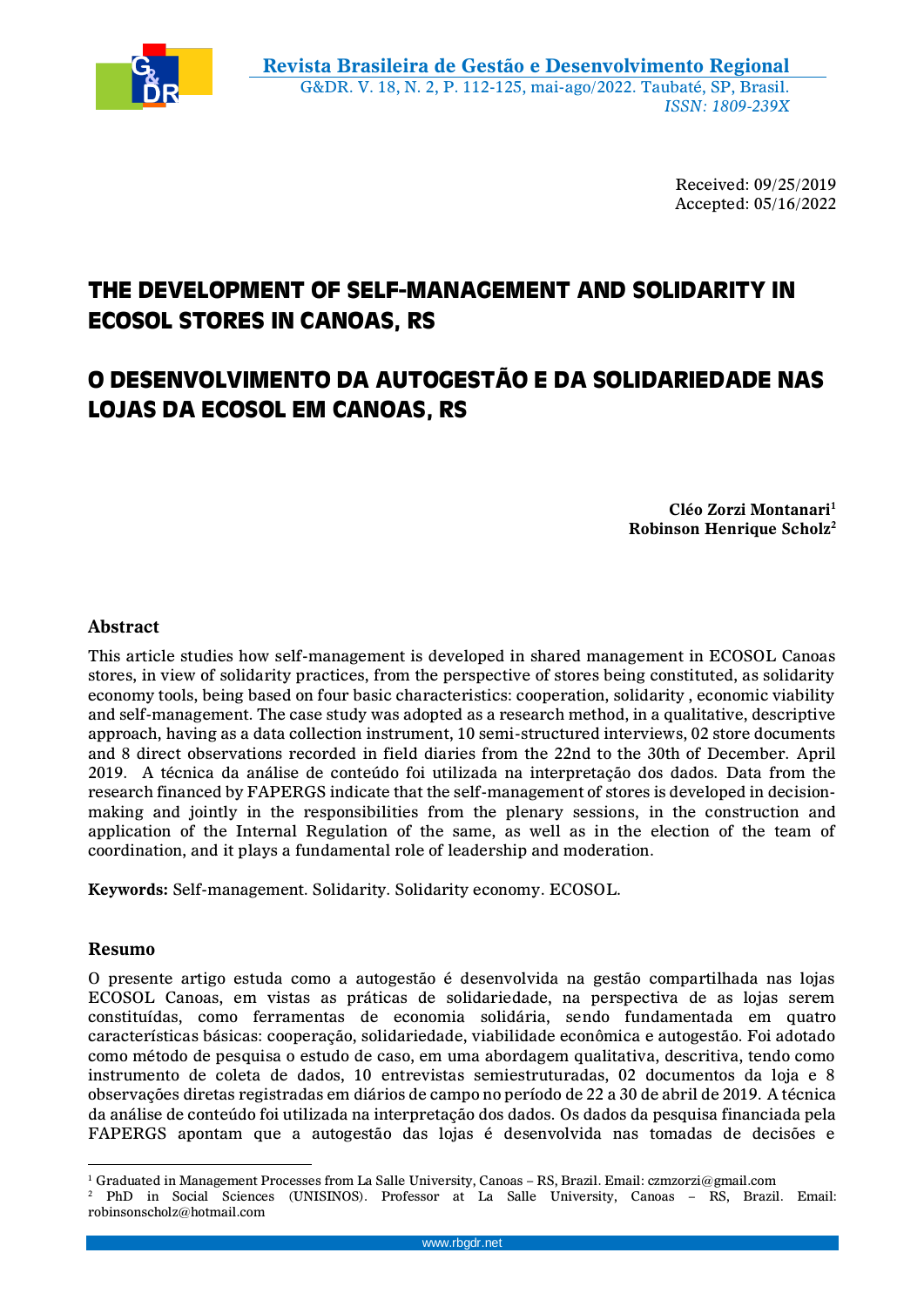

Received: 09/25/2019 Accepted: 05/16/2022

# **THE DEVELOPMENT OF SELF-MANAGEMENT AND SOLIDARITY IN ECOSOL STORES IN CANOAS, RS**

## **O DESENVOLVIMENTO DA AUTOGESTÃO E DA SOLIDARIEDADE NAS LOJAS DA ECOSOL EM CANOAS, RS**

**Cléo Zorzi Montanari<sup>1</sup> Robinson Henrique Scholz<sup>2</sup>**

## **Abstract**

This article studies how self-management is developed in shared management in ECOSOL Canoas stores, in view of solidarity practices, from the perspective of stores being constituted, as solidarity economy tools, being based on four basic characteristics: cooperation, solidarity , economic viability and self-management. The case study was adopted as a research method, in a qualitative, descriptive approach, having as a data collection instrument, 10 semi-structured interviews, 02 store documents and 8 direct observations recorded in field diaries from the 22nd to the 30th of December. April 2019. A técnica da análise de conteúdo foi utilizada na interpretação dos dados. Data from the research financed by FAPERGS indicate that the self-management of stores is developed in decisionmaking and jointly in the responsibilities from the plenary sessions, in the construction and application of the Internal Regulation of the same, as well as in the election of the team of coordination, and it plays a fundamental role of leadership and moderation.

**Keywords:** Self-management. Solidarity. Solidarity economy. ECOSOL.

## **Resumo**

O presente artigo estuda como a autogestão é desenvolvida na gestão compartilhada nas lojas ECOSOL Canoas, em vistas as práticas de solidariedade, na perspectiva de as lojas serem constituídas, como ferramentas de economia solidária, sendo fundamentada em quatro características básicas: cooperação, solidariedade, viabilidade econômica e autogestão. Foi adotado como método de pesquisa o estudo de caso, em uma abordagem qualitativa, descritiva, tendo como instrumento de coleta de dados, 10 entrevistas semiestruturadas, 02 documentos da loja e 8 observações diretas registradas em diários de campo no período de 22 a 30 de abril de 2019. A técnica da análise de conteúdo foi utilizada na interpretação dos dados. Os dados da pesquisa financiada pela FAPERGS apontam que a autogestão das lojas é desenvolvida nas tomadas de decisões e

 $\overline{a}$ <sup>1</sup> Graduated in Management Processes from La Salle University, Canoas – RS, Brazil. Email: czmzorzi@gmail.com

<sup>2</sup> PhD in Social Sciences (UNISINOS). Professor at La Salle University, Canoas – RS, Brazil. Email: robinsonscholz@hotmail.com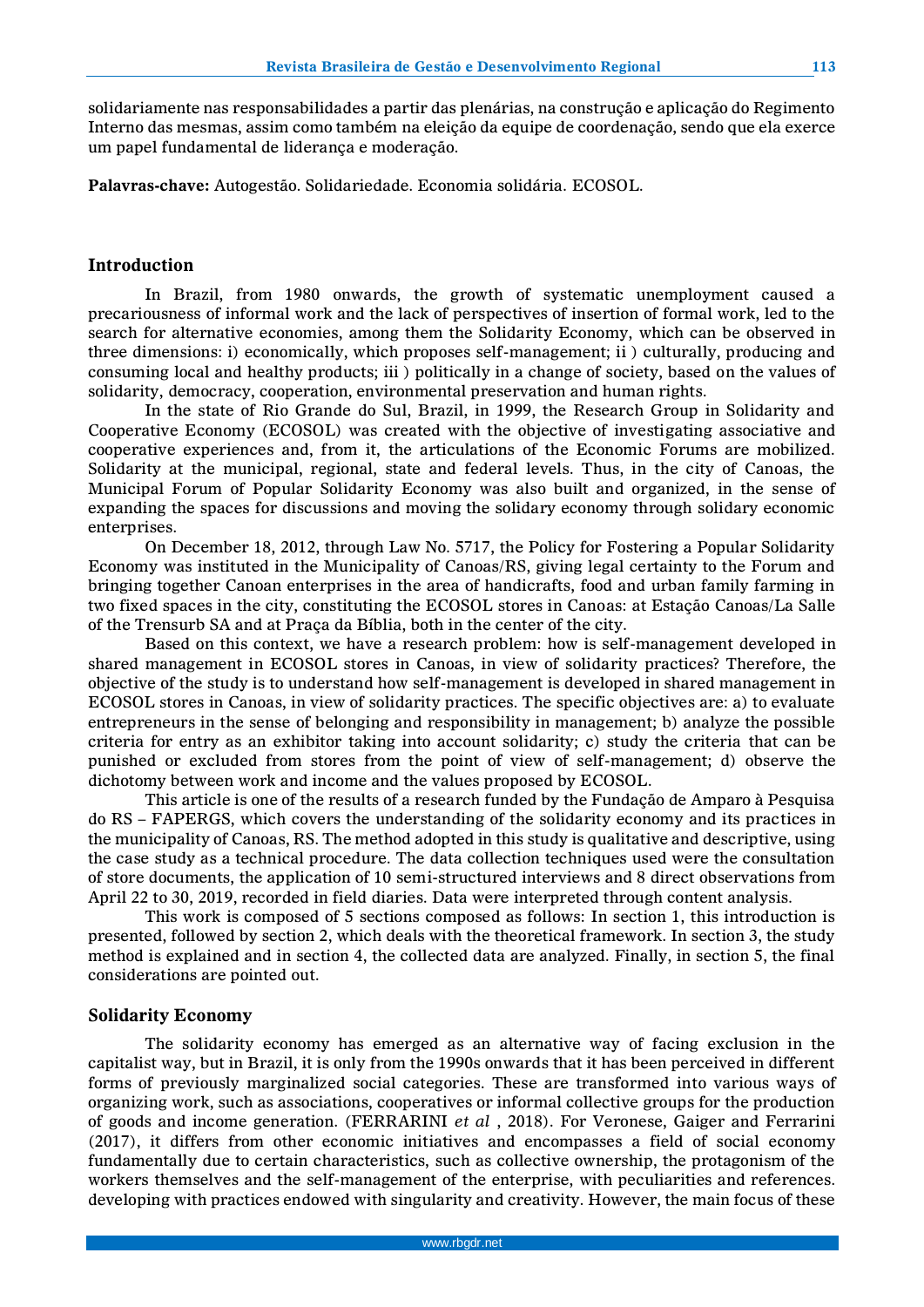solidariamente nas responsabilidades a partir das plenárias, na construção e aplicação do Regimento Interno das mesmas, assim como também na eleição da equipe de coordenação, sendo que ela exerce um papel fundamental de liderança e moderação.

**Palavras-chave:** Autogestão. Solidariedade. Economia solidária. ECOSOL.

#### **Introduction**

In Brazil, from 1980 onwards, the growth of systematic unemployment caused a precariousness of informal work and the lack of perspectives of insertion of formal work, led to the search for alternative economies, among them the Solidarity Economy, which can be observed in three dimensions: i) economically, which proposes self-management; ii ) culturally, producing and consuming local and healthy products; iii ) politically in a change of society, based on the values of solidarity, democracy, cooperation, environmental preservation and human rights.

In the state of Rio Grande do Sul, Brazil, in 1999, the Research Group in Solidarity and Cooperative Economy (ECOSOL) was created with the objective of investigating associative and cooperative experiences and, from it, the articulations of the Economic Forums are mobilized. Solidarity at the municipal, regional, state and federal levels. Thus, in the city of Canoas, the Municipal Forum of Popular Solidarity Economy was also built and organized, in the sense of expanding the spaces for discussions and moving the solidary economy through solidary economic enterprises.

On December 18, 2012, through Law No. 5717, the Policy for Fostering a Popular Solidarity Economy was instituted in the Municipality of Canoas/RS, giving legal certainty to the Forum and bringing together Canoan enterprises in the area of handicrafts, food and urban family farming in two fixed spaces in the city, constituting the ECOSOL stores in Canoas: at Estação Canoas/La Salle of the Trensurb SA and at Praça da Bíblia, both in the center of the city.

Based on this context, we have a research problem: how is self-management developed in shared management in ECOSOL stores in Canoas, in view of solidarity practices? Therefore, the objective of the study is to understand how self-management is developed in shared management in ECOSOL stores in Canoas, in view of solidarity practices. The specific objectives are: a) to evaluate entrepreneurs in the sense of belonging and responsibility in management; b) analyze the possible criteria for entry as an exhibitor taking into account solidarity; c) study the criteria that can be punished or excluded from stores from the point of view of self-management; d) observe the dichotomy between work and income and the values proposed by ECOSOL.

This article is one of the results of a research funded by the Fundação de Amparo à Pesquisa do RS – FAPERGS, which covers the understanding of the solidarity economy and its practices in the municipality of Canoas, RS. The method adopted in this study is qualitative and descriptive, using the case study as a technical procedure. The data collection techniques used were the consultation of store documents, the application of 10 semi-structured interviews and 8 direct observations from April 22 to 30, 2019, recorded in field diaries. Data were interpreted through content analysis.

This work is composed of 5 sections composed as follows: In section 1, this introduction is presented, followed by section 2, which deals with the theoretical framework. In section 3, the study method is explained and in section 4, the collected data are analyzed. Finally, in section 5, the final considerations are pointed out.

#### **Solidarity Economy**

The solidarity economy has emerged as an alternative way of facing exclusion in the capitalist way, but in Brazil, it is only from the 1990s onwards that it has been perceived in different forms of previously marginalized social categories. These are transformed into various ways of organizing work, such as associations, cooperatives or informal collective groups for the production of goods and income generation. (FERRARINI *et al* , 2018). For Veronese, Gaiger and Ferrarini (2017), it differs from other economic initiatives and encompasses a field of social economy fundamentally due to certain characteristics, such as collective ownership, the protagonism of the workers themselves and the self-management of the enterprise, with peculiarities and references. developing with practices endowed with singularity and creativity. However, the main focus of these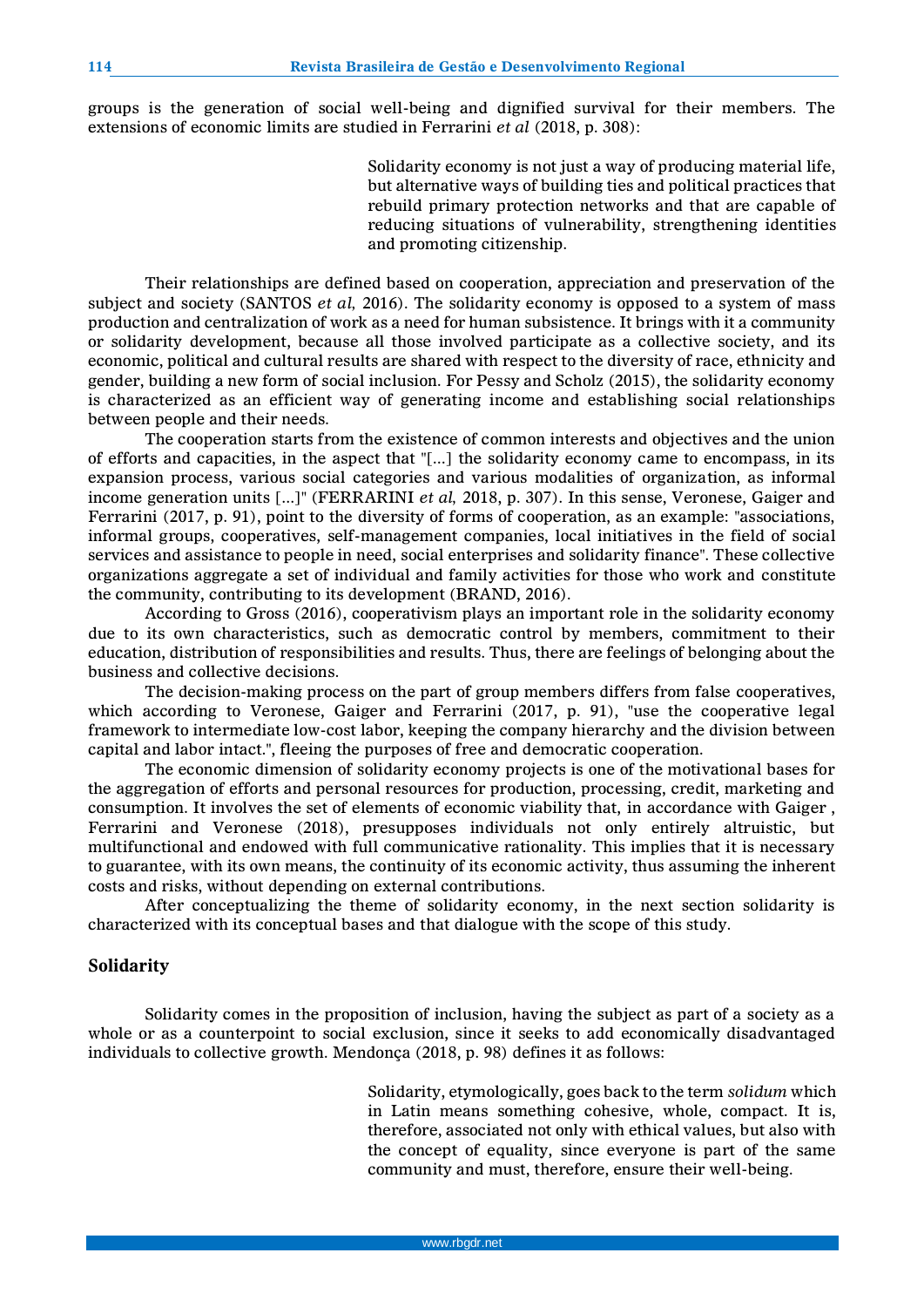groups is the generation of social well-being and dignified survival for their members. The extensions of economic limits are studied in Ferrarini *et al* (2018, p. 308):

> Solidarity economy is not just a way of producing material life, but alternative ways of building ties and political practices that rebuild primary protection networks and that are capable of reducing situations of vulnerability, strengthening identities and promoting citizenship.

Their relationships are defined based on cooperation, appreciation and preservation of the subject and society (SANTOS *et al,* 2016). The solidarity economy is opposed to a system of mass production and centralization of work as a need for human subsistence. It brings with it a community or solidarity development, because all those involved participate as a collective society, and its economic, political and cultural results are shared with respect to the diversity of race, ethnicity and gender, building a new form of social inclusion. For Pessy and Scholz (2015), the solidarity economy is characterized as an efficient way of generating income and establishing social relationships between people and their needs.

The cooperation starts from the existence of common interests and objectives and the union of efforts and capacities, in the aspect that "[...] the solidarity economy came to encompass, in its expansion process, various social categories and various modalities of organization, as informal income generation units [...]" (FERRARINI *et al,* 2018, p. 307). In this sense, Veronese, Gaiger and Ferrarini (2017, p. 91), point to the diversity of forms of cooperation, as an example: "associations, informal groups, cooperatives, self-management companies, local initiatives in the field of social services and assistance to people in need, social enterprises and solidarity finance". These collective organizations aggregate a set of individual and family activities for those who work and constitute the community, contributing to its development (BRAND, 2016).

According to Gross (2016), cooperativism plays an important role in the solidarity economy due to its own characteristics, such as democratic control by members, commitment to their education, distribution of responsibilities and results. Thus, there are feelings of belonging about the business and collective decisions.

The decision-making process on the part of group members differs from false cooperatives, which according to Veronese, Gaiger and Ferrarini (2017, p. 91), "use the cooperative legal framework to intermediate low-cost labor, keeping the company hierarchy and the division between capital and labor intact.", fleeing the purposes of free and democratic cooperation.

The economic dimension of solidarity economy projects is one of the motivational bases for the aggregation of efforts and personal resources for production, processing, credit, marketing and consumption. It involves the set of elements of economic viability that, in accordance with Gaiger , Ferrarini and Veronese (2018), presupposes individuals not only entirely altruistic, but multifunctional and endowed with full communicative rationality. This implies that it is necessary to guarantee, with its own means, the continuity of its economic activity, thus assuming the inherent costs and risks, without depending on external contributions.

After conceptualizing the theme of solidarity economy, in the next section solidarity is characterized with its conceptual bases and that dialogue with the scope of this study.

#### **Solidarity**

Solidarity comes in the proposition of inclusion, having the subject as part of a society as a whole or as a counterpoint to social exclusion, since it seeks to add economically disadvantaged individuals to collective growth. Mendonça (2018, p. 98) defines it as follows:

> Solidarity, etymologically, goes back to the term *solidum* which in Latin means something cohesive, whole, compact. It is, therefore, associated not only with ethical values, but also with the concept of equality, since everyone is part of the same community and must, therefore, ensure their well-being.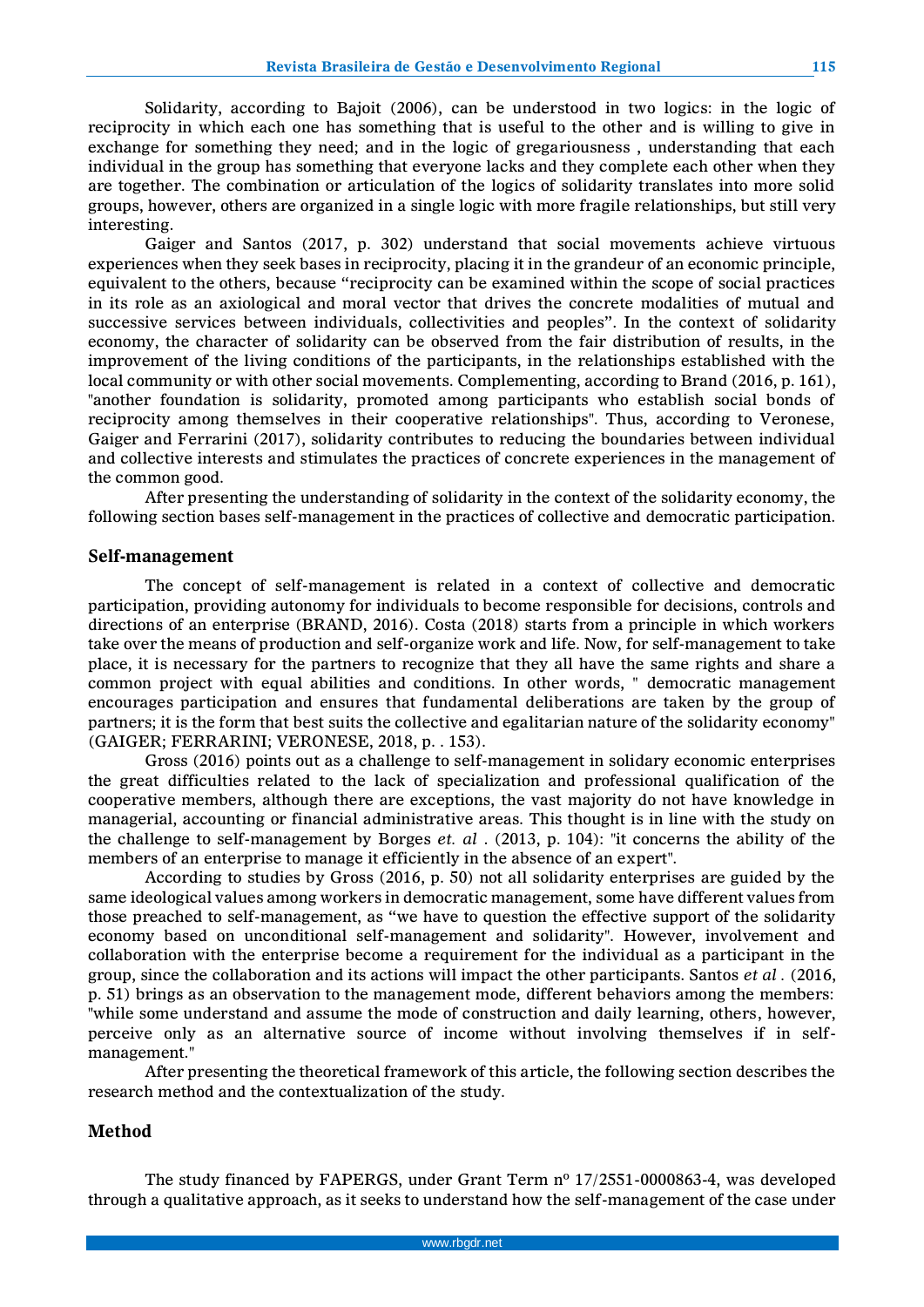Solidarity, according to Bajoit (2006), can be understood in two logics: in the logic of reciprocity in which each one has something that is useful to the other and is willing to give in exchange for something they need; and in the logic of gregariousness , understanding that each individual in the group has something that everyone lacks and they complete each other when they are together. The combination or articulation of the logics of solidarity translates into more solid groups, however, others are organized in a single logic with more fragile relationships, but still very interesting.

Gaiger and Santos (2017, p. 302) understand that social movements achieve virtuous experiences when they seek bases in reciprocity, placing it in the grandeur of an economic principle, equivalent to the others, because "reciprocity can be examined within the scope of social practices in its role as an axiological and moral vector that drives the concrete modalities of mutual and successive services between individuals, collectivities and peoples". In the context of solidarity economy, the character of solidarity can be observed from the fair distribution of results, in the improvement of the living conditions of the participants, in the relationships established with the local community or with other social movements. Complementing, according to Brand (2016, p. 161), "another foundation is solidarity, promoted among participants who establish social bonds of reciprocity among themselves in their cooperative relationships". Thus, according to Veronese, Gaiger and Ferrarini (2017), solidarity contributes to reducing the boundaries between individual and collective interests and stimulates the practices of concrete experiences in the management of the common good.

After presenting the understanding of solidarity in the context of the solidarity economy, the following section bases self-management in the practices of collective and democratic participation.

#### **Self-management**

The concept of self-management is related in a context of collective and democratic participation, providing autonomy for individuals to become responsible for decisions, controls and directions of an enterprise (BRAND, 2016). Costa (2018) starts from a principle in which workers take over the means of production and self-organize work and life. Now, for self-management to take place, it is necessary for the partners to recognize that they all have the same rights and share a common project with equal abilities and conditions. In other words, " democratic management encourages participation and ensures that fundamental deliberations are taken by the group of partners; it is the form that best suits the collective and egalitarian nature of the solidarity economy" (GAIGER; FERRARINI; VERONESE, 2018, p. . 153).

Gross (2016) points out as a challenge to self-management in solidary economic enterprises the great difficulties related to the lack of specialization and professional qualification of the cooperative members, although there are exceptions, the vast majority do not have knowledge in managerial, accounting or financial administrative areas. This thought is in line with the study on the challenge to self-management by Borges *et. al* . (2013, p. 104): "it concerns the ability of the members of an enterprise to manage it efficiently in the absence of an expert".

According to studies by Gross (2016, p. 50) not all solidarity enterprises are guided by the same ideological values among workers in democratic management, some have different values from those preached to self-management, as "we have to question the effective support of the solidarity economy based on unconditional self-management and solidarity". However, involvement and collaboration with the enterprise become a requirement for the individual as a participant in the group, since the collaboration and its actions will impact the other participants. Santos *et al .* (2016, p. 51) brings as an observation to the management mode, different behaviors among the members: "while some understand and assume the mode of construction and daily learning, others, however, perceive only as an alternative source of income without involving themselves if in selfmanagement."

After presenting the theoretical framework of this article, the following section describes the research method and the contextualization of the study.

### **Method**

The study financed by FAPERGS, under Grant Term nº 17/2551-0000863-4, was developed through a qualitative approach, as it seeks to understand how the self-management of the case under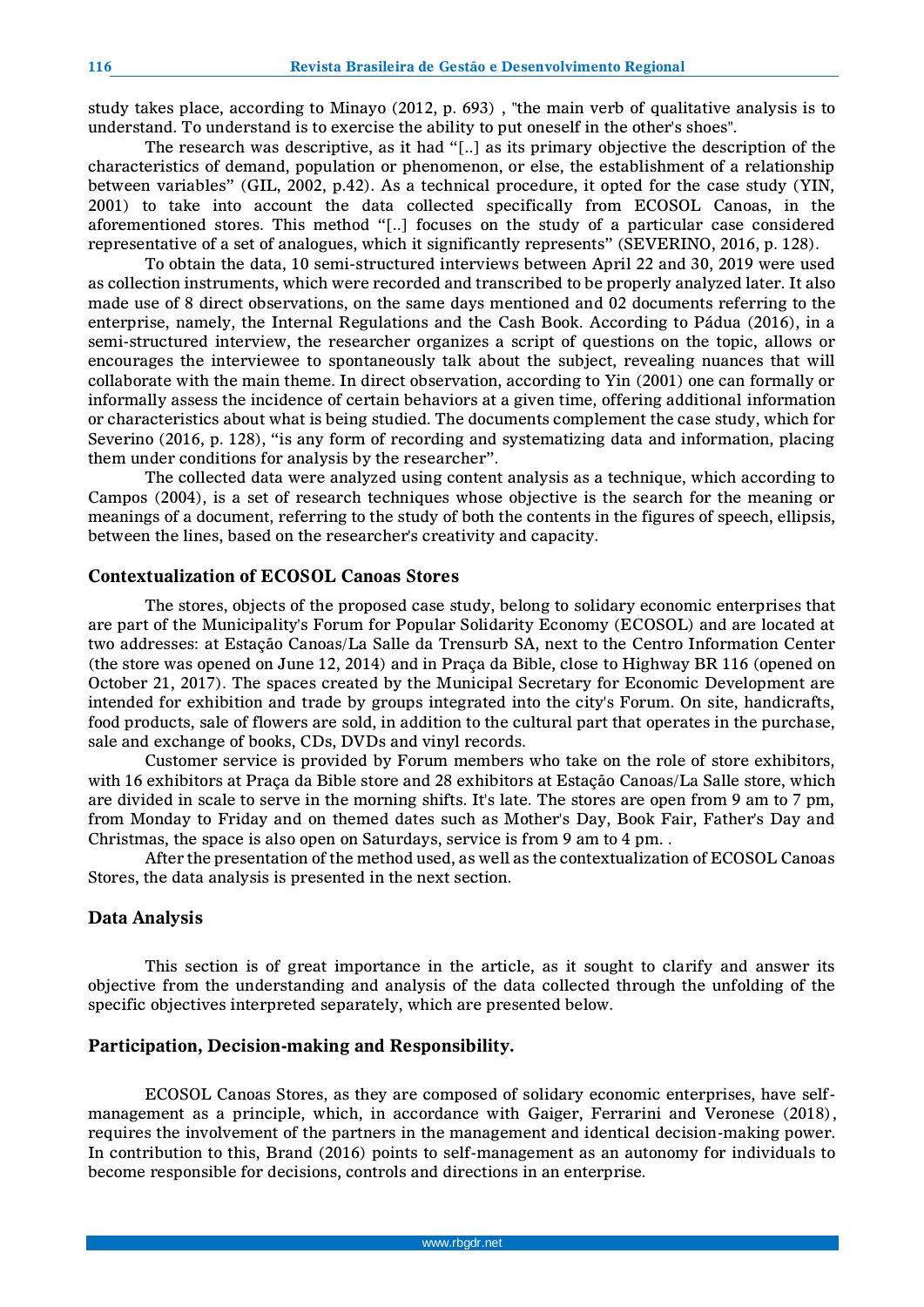study takes place, according to Minayo (2012, p. 693) , "the main verb of qualitative analysis is to understand. To understand is to exercise the ability to put oneself in the other's shoes".

The research was descriptive, as it had "[..] as its primary objective the description of the characteristics of demand, population or phenomenon, or else, the establishment of a relationship between variables" (GIL, 2002, p.42). As a technical procedure, it opted for the case study (YIN, 2001) to take into account the data collected specifically from ECOSOL Canoas, in the aforementioned stores. This method "[..] focuses on the study of a particular case considered representative of a set of analogues, which it significantly represents" (SEVERINO, 2016, p. 128).

To obtain the data, 10 semi-structured interviews between April 22 and 30, 2019 were used as collection instruments, which were recorded and transcribed to be properly analyzed later. It also made use of 8 direct observations, on the same days mentioned and 02 documents referring to the enterprise, namely, the Internal Regulations and the Cash Book. According to Pádua (2016), in a semi-structured interview, the researcher organizes a script of questions on the topic, allows or encourages the interviewee to spontaneously talk about the subject, revealing nuances that will collaborate with the main theme. In direct observation, according to Yin (2001) one can formally or informally assess the incidence of certain behaviors at a given time, offering additional information or characteristics about what is being studied. The documents complement the case study, which for Severino (2016, p. 128), "is any form of recording and systematizing data and information, placing them under conditions for analysis by the researcher".

The collected data were analyzed using content analysis as a technique, which according to Campos (2004), is a set of research techniques whose objective is the search for the meaning or meanings of a document, referring to the study of both the contents in the figures of speech, ellipsis, between the lines, based on the researcher's creativity and capacity.

#### **Contextualization of ECOSOL Canoas Stores**

The stores, objects of the proposed case study, belong to solidary economic enterprises that are part of the Municipality's Forum for Popular Solidarity Economy (ECOSOL) and are located at two addresses: at Estação Canoas/La Salle da Trensurb SA, next to the Centro Information Center (the store was opened on June 12, 2014) and in Praça da Bible, close to Highway BR 116 (opened on October 21, 2017). The spaces created by the Municipal Secretary for Economic Development are intended for exhibition and trade by groups integrated into the city's Forum. On site, handicrafts, food products, sale of flowers are sold, in addition to the cultural part that operates in the purchase, sale and exchange of books, CDs, DVDs and vinyl records.

Customer service is provided by Forum members who take on the role of store exhibitors, with 16 exhibitors at Praça da Bible store and 28 exhibitors at Estação Canoas/La Salle store, which are divided in scale to serve in the morning shifts. It's late. The stores are open from 9 am to 7 pm, from Monday to Friday and on themed dates such as Mother's Day, Book Fair, Father's Day and Christmas, the space is also open on Saturdays, service is from 9 am to 4 pm. .

After the presentation of the method used, as well as the contextualization of ECOSOL Canoas Stores, the data analysis is presented in the next section.

#### **Data Analysis**

This section is of great importance in the article, as it sought to clarify and answer its objective from the understanding and analysis of the data collected through the unfolding of the specific objectives interpreted separately, which are presented below.

#### **Participation, Decision-making and Responsibility.**

ECOSOL Canoas Stores, as they are composed of solidary economic enterprises, have selfmanagement as a principle, which, in accordance with Gaiger, Ferrarini and Veronese (2018) , requires the involvement of the partners in the management and identical decision-making power. In contribution to this, Brand (2016) points to self-management as an autonomy for individuals to become responsible for decisions, controls and directions in an enterprise.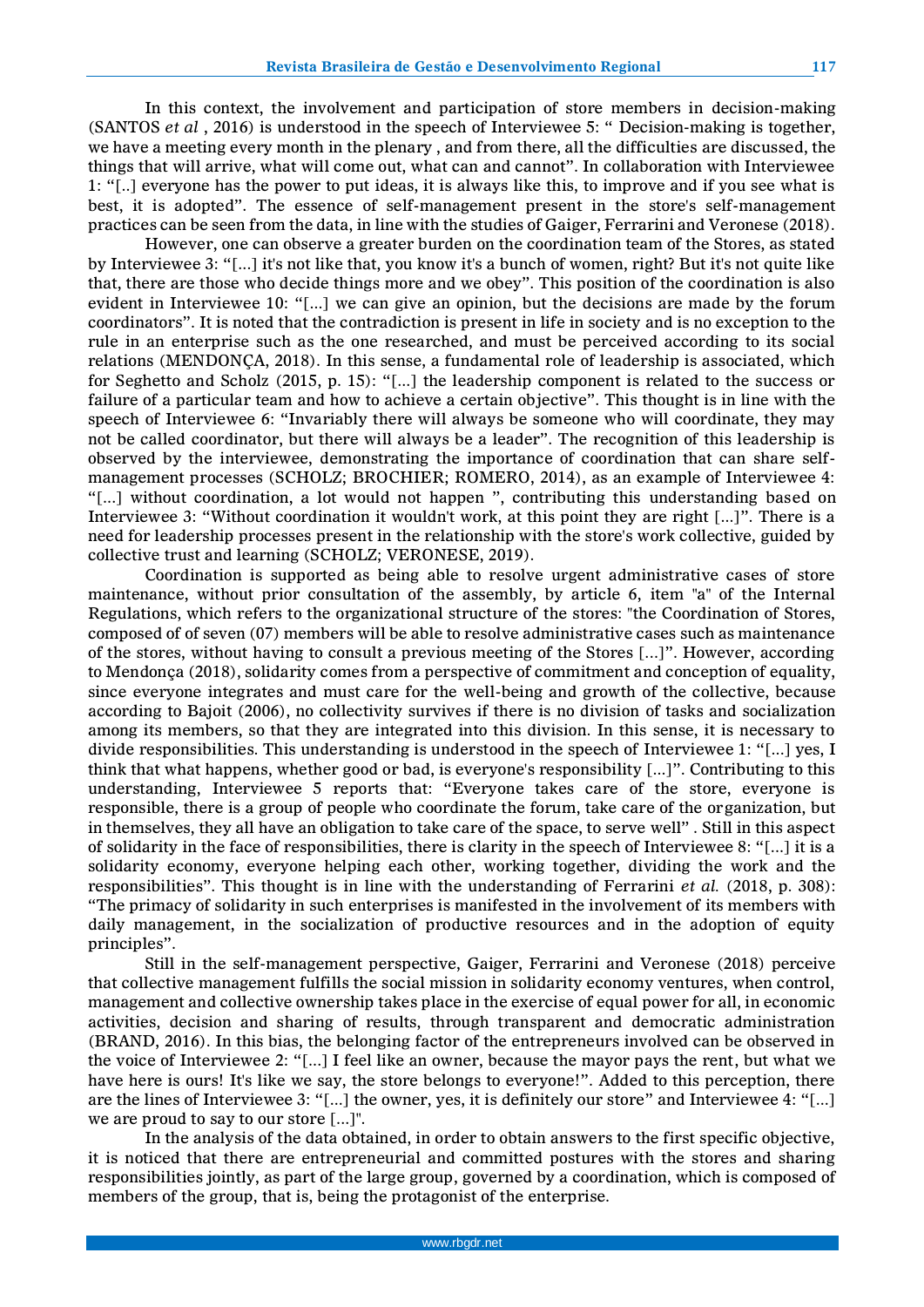In this context, the involvement and participation of store members in decision-making (SANTOS *et al* , 2016) is understood in the speech of Interviewee 5: " Decision-making is together, we have a meeting every month in the plenary , and from there, all the difficulties are discussed, the things that will arrive, what will come out, what can and cannot". In collaboration with Interviewee 1: "[..] everyone has the power to put ideas, it is always like this, to improve and if you see what is best, it is adopted". The essence of self-management present in the store's self-management practices can be seen from the data, in line with the studies of Gaiger, Ferrarini and Veronese (2018).

However, one can observe a greater burden on the coordination team of the Stores, as stated by Interviewee 3: "[...] it's not like that, you know it's a bunch of women, right? But it's not quite like that, there are those who decide things more and we obey". This position of the coordination is also evident in Interviewee 10: "[...] we can give an opinion, but the decisions are made by the forum coordinators". It is noted that the contradiction is present in life in society and is no exception to the rule in an enterprise such as the one researched, and must be perceived according to its social relations (MENDONÇA, 2018). In this sense, a fundamental role of leadership is associated, which for Seghetto and Scholz (2015, p. 15): "[...] the leadership component is related to the success or failure of a particular team and how to achieve a certain objective". This thought is in line with the speech of Interviewee 6: "Invariably there will always be someone who will coordinate, they may not be called coordinator, but there will always be a leader". The recognition of this leadership is observed by the interviewee, demonstrating the importance of coordination that can share selfmanagement processes (SCHOLZ; BROCHIER; ROMERO, 2014), as an example of Interviewee 4: "[...] without coordination, a lot would not happen ", contributing this understanding based on Interviewee 3: "Without coordination it wouldn't work, at this point they are right [...]". There is a need for leadership processes present in the relationship with the store's work collective, guided by collective trust and learning (SCHOLZ; VERONESE, 2019).

Coordination is supported as being able to resolve urgent administrative cases of store maintenance, without prior consultation of the assembly, by article 6, item "a" of the Internal Regulations, which refers to the organizational structure of the stores: "the Coordination of Stores, composed of of seven (07) members will be able to resolve administrative cases such as maintenance of the stores, without having to consult a previous meeting of the Stores [...]". However, according to Mendonça (2018), solidarity comes from a perspective of commitment and conception of equality, since everyone integrates and must care for the well-being and growth of the collective, because according to Bajoit (2006), no collectivity survives if there is no division of tasks and socialization among its members, so that they are integrated into this division. In this sense, it is necessary to divide responsibilities. This understanding is understood in the speech of Interviewee 1: "[...] yes, I think that what happens, whether good or bad, is everyone's responsibility [...]". Contributing to this understanding, Interviewee 5 reports that: "Everyone takes care of the store, everyone is responsible, there is a group of people who coordinate the forum, take care of the organization, but in themselves, they all have an obligation to take care of the space, to serve well" . Still in this aspect of solidarity in the face of responsibilities, there is clarity in the speech of Interviewee 8: "[...] it is a solidarity economy, everyone helping each other, working together, dividing the work and the responsibilities". This thought is in line with the understanding of Ferrarini *et al.* (2018, p. 308): "The primacy of solidarity in such enterprises is manifested in the involvement of its members with daily management, in the socialization of productive resources and in the adoption of equity principles".

Still in the self-management perspective, Gaiger, Ferrarini and Veronese (2018) perceive that collective management fulfills the social mission in solidarity economy ventures, when control, management and collective ownership takes place in the exercise of equal power for all, in economic activities, decision and sharing of results, through transparent and democratic administration (BRAND, 2016). In this bias, the belonging factor of the entrepreneurs involved can be observed in the voice of Interviewee 2: "[...] I feel like an owner, because the mayor pays the rent, but what we have here is ours! It's like we say, the store belongs to everyone!". Added to this perception, there are the lines of Interviewee 3: "[...] the owner, yes, it is definitely our store" and Interviewee 4: "[...] we are proud to say to our store [...]".

In the analysis of the data obtained, in order to obtain answers to the first specific objective, it is noticed that there are entrepreneurial and committed postures with the stores and sharing responsibilities jointly, as part of the large group, governed by a coordination, which is composed of members of the group, that is, being the protagonist of the enterprise.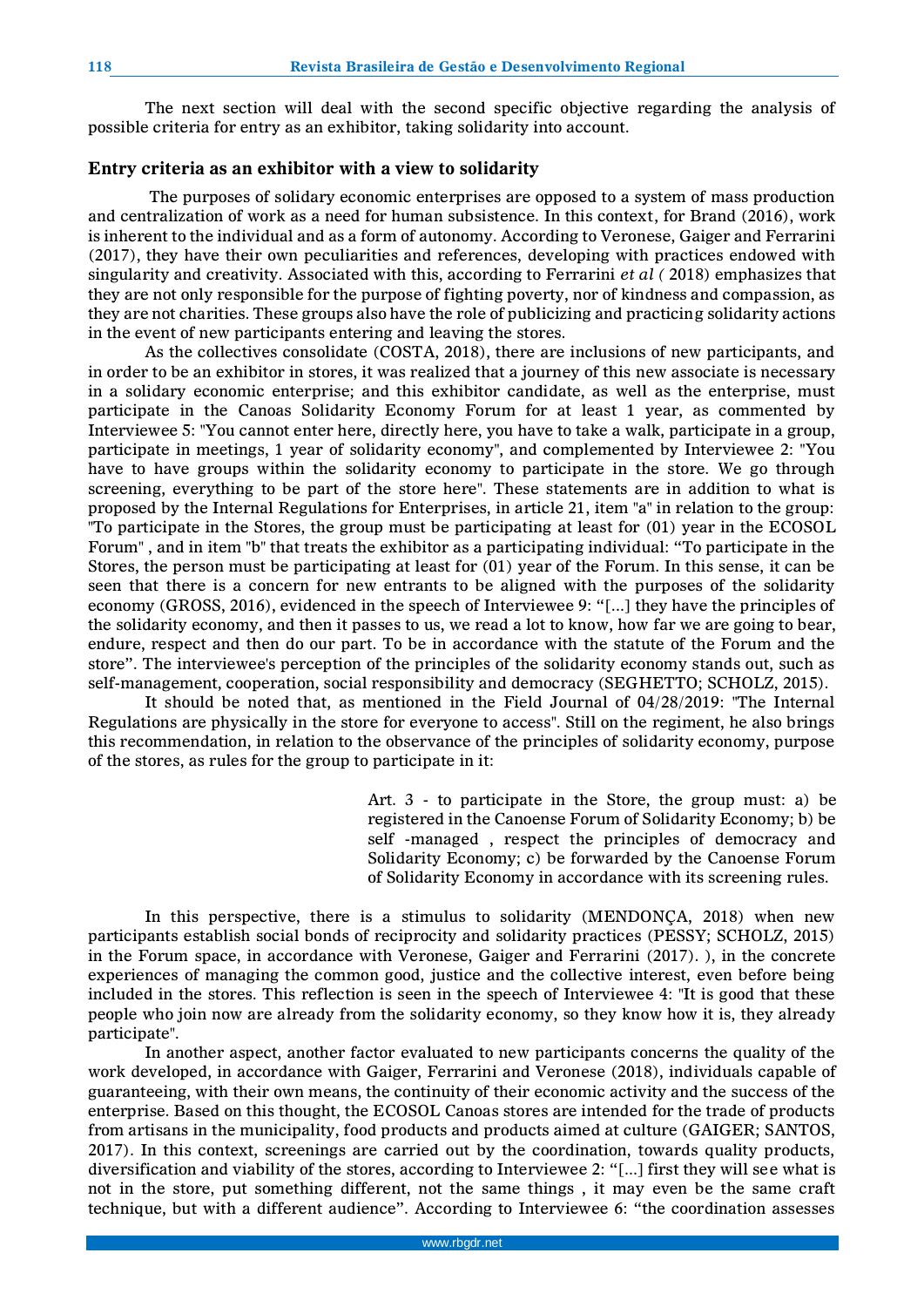The next section will deal with the second specific objective regarding the analysis of possible criteria for entry as an exhibitor, taking solidarity into account.

## **Entry criteria as an exhibitor with a view to solidarity**

The purposes of solidary economic enterprises are opposed to a system of mass production and centralization of work as a need for human subsistence. In this context, for Brand (2016), work is inherent to the individual and as a form of autonomy. According to Veronese, Gaiger and Ferrarini (2017), they have their own peculiarities and references, developing with practices endowed with singularity and creativity. Associated with this, according to Ferrarini *et al (* 2018) emphasizes that they are not only responsible for the purpose of fighting poverty, nor of kindness and compassion, as they are not charities. These groups also have the role of publicizing and practicing solidarity actions in the event of new participants entering and leaving the stores.

As the collectives consolidate (COSTA, 2018), there are inclusions of new participants, and in order to be an exhibitor in stores, it was realized that a journey of this new associate is necessary in a solidary economic enterprise; and this exhibitor candidate, as well as the enterprise, must participate in the Canoas Solidarity Economy Forum for at least 1 year, as commented by Interviewee 5: "You cannot enter here, directly here, you have to take a walk, participate in a group, participate in meetings, 1 year of solidarity economy", and complemented by Interviewee 2: "You have to have groups within the solidarity economy to participate in the store. We go through screening, everything to be part of the store here". These statements are in addition to what is proposed by the Internal Regulations for Enterprises, in article 21, item "a" in relation to the group: "To participate in the Stores, the group must be participating at least for (01) year in the ECOSOL Forum" , and in item "b" that treats the exhibitor as a participating individual: "To participate in the Stores, the person must be participating at least for (01) year of the Forum. In this sense, it can be seen that there is a concern for new entrants to be aligned with the purposes of the solidarity economy (GROSS, 2016), evidenced in the speech of Interviewee 9: "[...] they have the principles of the solidarity economy, and then it passes to us, we read a lot to know, how far we are going to bear, endure, respect and then do our part. To be in accordance with the statute of the Forum and the store". The interviewee's perception of the principles of the solidarity economy stands out, such as self-management, cooperation, social responsibility and democracy (SEGHETTO; SCHOLZ, 2015).

It should be noted that, as mentioned in the Field Journal of 04/28/2019: "The Internal Regulations are physically in the store for everyone to access". Still on the regiment, he also brings this recommendation, in relation to the observance of the principles of solidarity economy, purpose of the stores, as rules for the group to participate in it:

> Art. 3 - to participate in the Store, the group must: a) be registered in the Canoense Forum of Solidarity Economy; b) be self -managed , respect the principles of democracy and Solidarity Economy; c) be forwarded by the Canoense Forum of Solidarity Economy in accordance with its screening rules.

In this perspective, there is a stimulus to solidarity (MENDONÇA, 2018) when new participants establish social bonds of reciprocity and solidarity practices (PESSY; SCHOLZ, 2015) in the Forum space, in accordance with Veronese, Gaiger and Ferrarini (2017). ), in the concrete experiences of managing the common good, justice and the collective interest, even before being included in the stores. This reflection is seen in the speech of Interviewee 4: "It is good that these people who join now are already from the solidarity economy, so they know how it is, they already participate".

In another aspect, another factor evaluated to new participants concerns the quality of the work developed, in accordance with Gaiger, Ferrarini and Veronese (2018), individuals capable of guaranteeing, with their own means, the continuity of their economic activity and the success of the enterprise. Based on this thought, the ECOSOL Canoas stores are intended for the trade of products from artisans in the municipality, food products and products aimed at culture (GAIGER; SANTOS, 2017). In this context, screenings are carried out by the coordination, towards quality products, diversification and viability of the stores, according to Interviewee 2: "[...] first they will see what is not in the store, put something different, not the same things , it may even be the same craft technique, but with a different audience". According to Interviewee 6: "the coordination assesses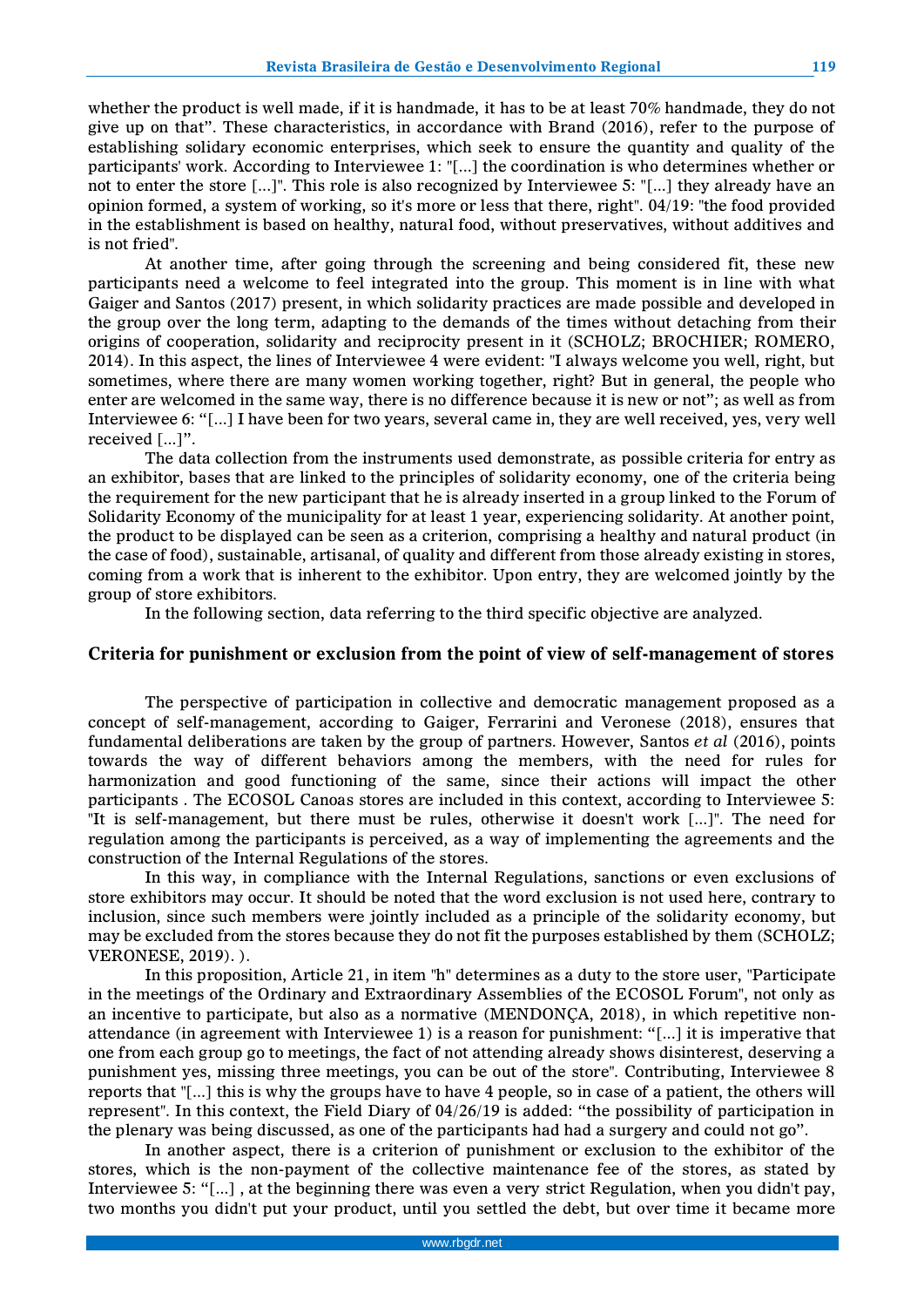whether the product is well made, if it is handmade, it has to be at least 70% handmade, they do not give up on that". These characteristics, in accordance with Brand (2016), refer to the purpose of establishing solidary economic enterprises, which seek to ensure the quantity and quality of the participants' work. According to Interviewee 1: "[...] the coordination is who determines whether or not to enter the store [...]". This role is also recognized by Interviewee 5: "[...] they already have an opinion formed, a system of working, so it's more or less that there, right". 04/19: "the food provided in the establishment is based on healthy, natural food, without preservatives, without additives and is not fried".

At another time, after going through the screening and being considered fit, these new participants need a welcome to feel integrated into the group. This moment is in line with what Gaiger and Santos (2017) present, in which solidarity practices are made possible and developed in the group over the long term, adapting to the demands of the times without detaching from their origins of cooperation, solidarity and reciprocity present in it (SCHOLZ; BROCHIER; ROMERO, 2014). In this aspect, the lines of Interviewee 4 were evident: "I always welcome you well, right, but sometimes, where there are many women working together, right? But in general, the people who enter are welcomed in the same way, there is no difference because it is new or not"; as well as from Interviewee 6: "[...] I have been for two years, several came in, they are well received, yes, very well received [...]".

The data collection from the instruments used demonstrate, as possible criteria for entry as an exhibitor, bases that are linked to the principles of solidarity economy, one of the criteria being the requirement for the new participant that he is already inserted in a group linked to the Forum of Solidarity Economy of the municipality for at least 1 year, experiencing solidarity. At another point, the product to be displayed can be seen as a criterion, comprising a healthy and natural product (in the case of food), sustainable, artisanal, of quality and different from those already existing in stores, coming from a work that is inherent to the exhibitor. Upon entry, they are welcomed jointly by the group of store exhibitors.

In the following section, data referring to the third specific objective are analyzed.

## **Criteria for punishment or exclusion from the point of view of self-management of stores**

The perspective of participation in collective and democratic management proposed as a concept of self-management, according to Gaiger, Ferrarini and Veronese (2018), ensures that fundamental deliberations are taken by the group of partners. However, Santos *et al* (2016), points towards the way of different behaviors among the members, with the need for rules for harmonization and good functioning of the same, since their actions will impact the other participants . The ECOSOL Canoas stores are included in this context, according to Interviewee 5: "It is self-management, but there must be rules, otherwise it doesn't work [...]". The need for regulation among the participants is perceived, as a way of implementing the agreements and the construction of the Internal Regulations of the stores.

In this way, in compliance with the Internal Regulations, sanctions or even exclusions of store exhibitors may occur. It should be noted that the word exclusion is not used here, contrary to inclusion, since such members were jointly included as a principle of the solidarity economy, but may be excluded from the stores because they do not fit the purposes established by them (SCHOLZ; VERONESE, 2019). ).

In this proposition, Article 21, in item "h" determines as a duty to the store user, "Participate in the meetings of the Ordinary and Extraordinary Assemblies of the ECOSOL Forum", not only as an incentive to participate, but also as a normative (MENDONÇA, 2018), in which repetitive nonattendance (in agreement with Interviewee 1) is a reason for punishment: "[...] it is imperative that one from each group go to meetings, the fact of not attending already shows disinterest, deserving a punishment yes, missing three meetings, you can be out of the store". Contributing, Interviewee 8 reports that "[...] this is why the groups have to have 4 people, so in case of a patient, the others will represent". In this context, the Field Diary of 04/26/19 is added: "the possibility of participation in the plenary was being discussed, as one of the participants had had a surgery and could not go".

In another aspect, there is a criterion of punishment or exclusion to the exhibitor of the stores, which is the non-payment of the collective maintenance fee of the stores, as stated by Interviewee 5: "[...] , at the beginning there was even a very strict Regulation, when you didn't pay, two months you didn't put your product, until you settled the debt, but over time it became more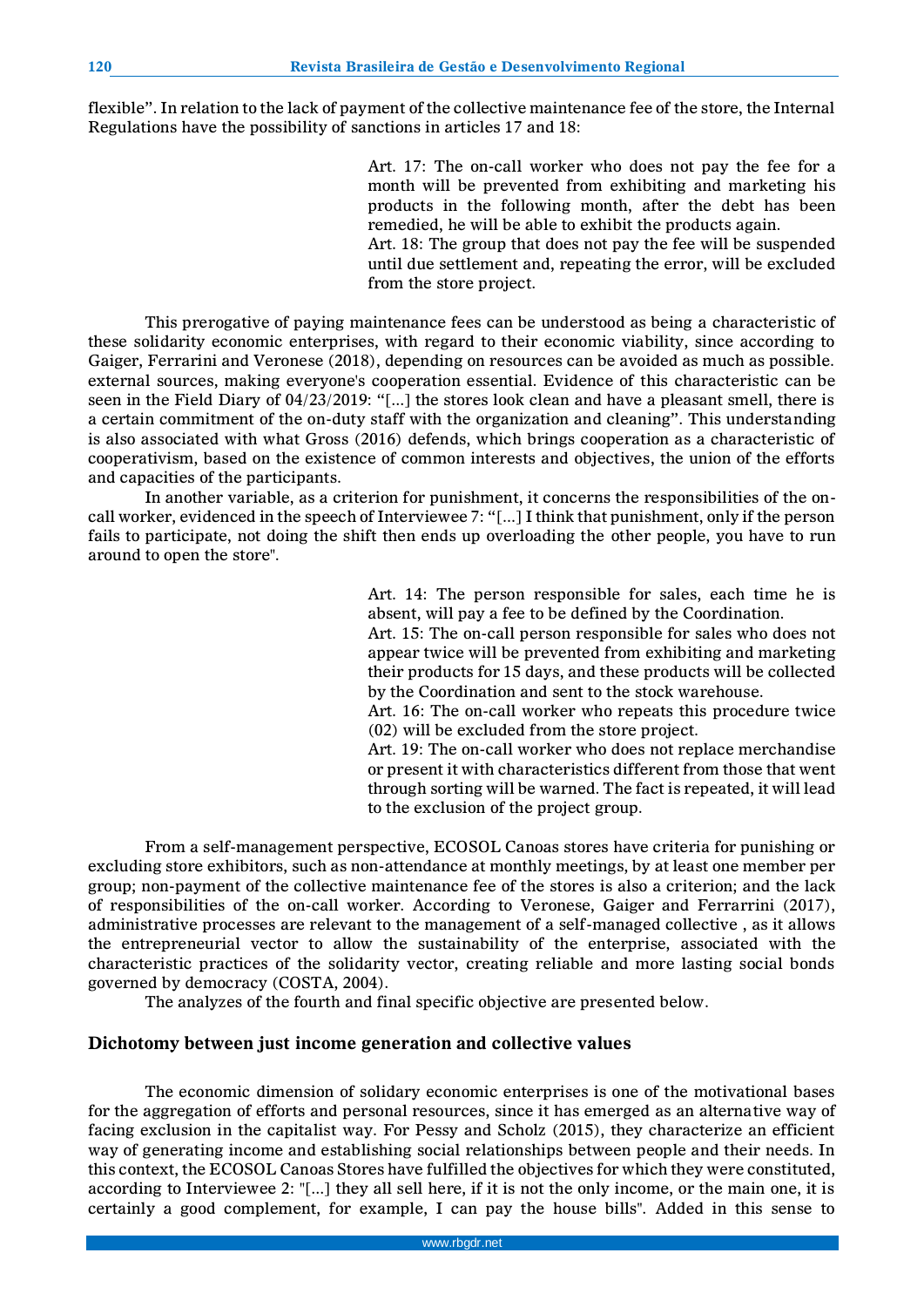flexible". In relation to the lack of payment of the collective maintenance fee of the store, the Internal Regulations have the possibility of sanctions in articles 17 and 18:

> Art. 17: The on-call worker who does not pay the fee for a month will be prevented from exhibiting and marketing his products in the following month, after the debt has been remedied, he will be able to exhibit the products again. Art. 18: The group that does not pay the fee will be suspended until due settlement and, repeating the error, will be excluded from the store project.

This prerogative of paying maintenance fees can be understood as being a characteristic of these solidarity economic enterprises, with regard to their economic viability, since according to Gaiger, Ferrarini and Veronese (2018), depending on resources can be avoided as much as possible. external sources, making everyone's cooperation essential. Evidence of this characteristic can be seen in the Field Diary of 04/23/2019: "[...] the stores look clean and have a pleasant smell, there is a certain commitment of the on-duty staff with the organization and cleaning". This understanding is also associated with what Gross (2016) defends, which brings cooperation as a characteristic of cooperativism, based on the existence of common interests and objectives, the union of the efforts and capacities of the participants.

In another variable, as a criterion for punishment, it concerns the responsibilities of the oncall worker, evidenced in the speech of Interviewee 7: "[...] I think that punishment, only if the person fails to participate, not doing the shift then ends up overloading the other people, you have to run around to open the store".

> Art. 14: The person responsible for sales, each time he is absent, will pay a fee to be defined by the Coordination. Art. 15: The on-call person responsible for sales who does not appear twice will be prevented from exhibiting and marketing their products for 15 days, and these products will be collected by the Coordination and sent to the stock warehouse. Art. 16: The on-call worker who repeats this procedure twice (02) will be excluded from the store project. Art. 19: The on-call worker who does not replace merchandise or present it with characteristics different from those that went through sorting will be warned. The fact is repeated, it will lead to the exclusion of the project group.

From a self-management perspective, ECOSOL Canoas stores have criteria for punishing or excluding store exhibitors, such as non-attendance at monthly meetings, by at least one member per group; non-payment of the collective maintenance fee of the stores is also a criterion; and the lack of responsibilities of the on-call worker. According to Veronese, Gaiger and Ferrarrini (2017), administrative processes are relevant to the management of a self-managed collective , as it allows the entrepreneurial vector to allow the sustainability of the enterprise, associated with the characteristic practices of the solidarity vector, creating reliable and more lasting social bonds governed by democracy (COSTA, 2004).

The analyzes of the fourth and final specific objective are presented below.

## **Dichotomy between just income generation and collective values**

The economic dimension of solidary economic enterprises is one of the motivational bases for the aggregation of efforts and personal resources, since it has emerged as an alternative way of facing exclusion in the capitalist way. For Pessy and Scholz (2015), they characterize an efficient way of generating income and establishing social relationships between people and their needs. In this context, the ECOSOL Canoas Stores have fulfilled the objectives for which they were constituted, according to Interviewee 2: "[...] they all sell here, if it is not the only income, or the main one, it is certainly a good complement, for example, I can pay the house bills". Added in this sense to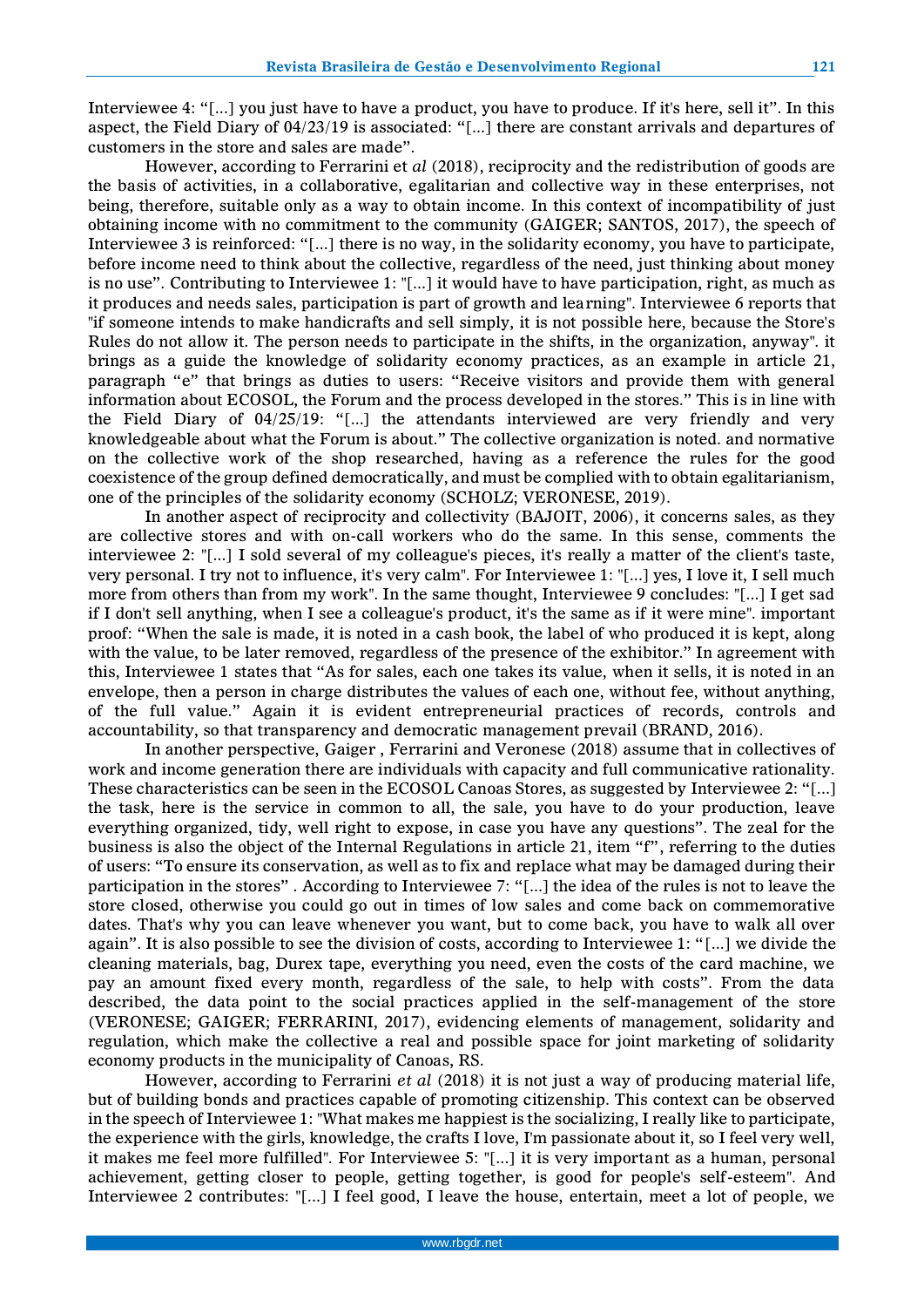Interviewee 4: "[...] you just have to have a product, you have to produce. If it's here, sell it". In this aspect, the Field Diary of 04/23/19 is associated: "[...] there are constant arrivals and departures of customers in the store and sales are made".

However, according to Ferrarini et *al* (2018), reciprocity and the redistribution of goods are the basis of activities, in a collaborative, egalitarian and collective way in these enterprises, not being, therefore, suitable only as a way to obtain income. In this context of incompatibility of just obtaining income with no commitment to the community (GAIGER; SANTOS, 2017), the speech of Interviewee 3 is reinforced: "[...] there is no way, in the solidarity economy, you have to participate, before income need to think about the collective, regardless of the need, just thinking about money is no use". Contributing to Interviewee 1: "[...] it would have to have participation, right, as much as it produces and needs sales, participation is part of growth and learning". Interviewee 6 reports that "if someone intends to make handicrafts and sell simply, it is not possible here, because the Store's Rules do not allow it. The person needs to participate in the shifts, in the organization, anyway". it brings as a guide the knowledge of solidarity economy practices, as an example in article 21, paragraph "e" that brings as duties to users: "Receive visitors and provide them with general information about ECOSOL, the Forum and the process developed in the stores." This is in line with the Field Diary of 04/25/19: "[...] the attendants interviewed are very friendly and very knowledgeable about what the Forum is about." The collective organization is noted. and normative on the collective work of the shop researched, having as a reference the rules for the good coexistence of the group defined democratically, and must be complied with to obtain egalitarianism, one of the principles of the solidarity economy (SCHOLZ; VERONESE, 2019).

In another aspect of reciprocity and collectivity (BAJOIT, 2006), it concerns sales, as they are collective stores and with on-call workers who do the same. In this sense, comments the interviewee 2: "[...] I sold several of my colleague's pieces, it's really a matter of the client's taste, very personal. I try not to influence, it's very calm". For Interviewee 1: "[...] yes, I love it, I sell much more from others than from my work". In the same thought, Interviewee 9 concludes: "[...] I get sad if I don't sell anything, when I see a colleague's product, it's the same as if it were mine". important proof: "When the sale is made, it is noted in a cash book, the label of who produced it is kept, along with the value, to be later removed, regardless of the presence of the exhibitor." In agreement with this, Interviewee 1 states that "As for sales, each one takes its value, when it sells, it is noted in an envelope, then a person in charge distributes the values of each one, without fee, without anything, of the full value." Again it is evident entrepreneurial practices of records, controls and accountability, so that transparency and democratic management prevail (BRAND, 2016).

In another perspective, Gaiger , Ferrarini and Veronese (2018) assume that in collectives of work and income generation there are individuals with capacity and full communicative rationality. These characteristics can be seen in the ECOSOL Canoas Stores, as suggested by Interviewee 2: "[...] the task, here is the service in common to all, the sale, you have to do your production, leave everything organized, tidy, well right to expose, in case you have any questions". The zeal for the business is also the object of the Internal Regulations in article 21, item "f", referring to the duties of users: "To ensure its conservation, as well as to fix and replace what may be damaged during their participation in the stores" . According to Interviewee 7: "[...] the idea of the rules is not to leave the store closed, otherwise you could go out in times of low sales and come back on commemorative dates. That's why you can leave whenever you want, but to come back, you have to walk all over again". It is also possible to see the division of costs, according to Interviewee 1: "[...] we divide the cleaning materials, bag, Durex tape, everything you need, even the costs of the card machine, we pay an amount fixed every month, regardless of the sale, to help with costs". From the data described, the data point to the social practices applied in the self-management of the store (VERONESE; GAIGER; FERRARINI, 2017), evidencing elements of management, solidarity and regulation, which make the collective a real and possible space for joint marketing of solidarity economy products in the municipality of Canoas, RS.

However, according to Ferrarini *et al* (2018) it is not just a way of producing material life, but of building bonds and practices capable of promoting citizenship. This context can be observed in the speech of Interviewee 1: "What makes me happiest is the socializing, I really like to participate, the experience with the girls, knowledge, the crafts I love, I'm passionate about it, so I feel very well, it makes me feel more fulfilled". For Interviewee 5: "[...] it is very important as a human, personal achievement, getting closer to people, getting together, is good for people's self-esteem". And Interviewee 2 contributes: "[...] I feel good, I leave the house, entertain, meet a lot of people, we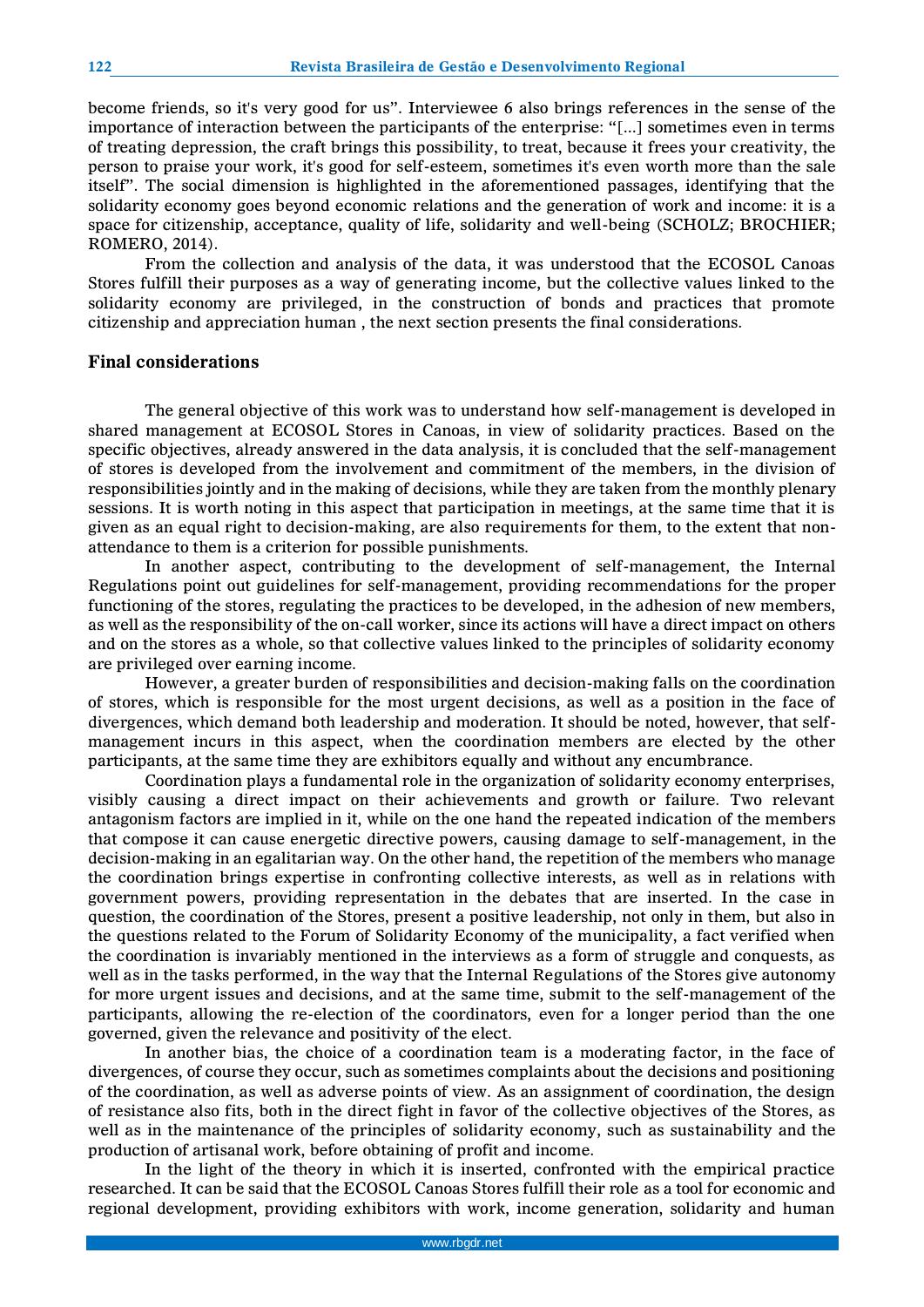become friends, so it's very good for us". Interviewee 6 also brings references in the sense of the importance of interaction between the participants of the enterprise: "[...] sometimes even in terms of treating depression, the craft brings this possibility, to treat, because it frees your creativity, the person to praise your work, it's good for self-esteem, sometimes it's even worth more than the sale itself". The social dimension is highlighted in the aforementioned passages, identifying that the solidarity economy goes beyond economic relations and the generation of work and income: it is a space for citizenship, acceptance, quality of life, solidarity and well-being (SCHOLZ; BROCHIER; ROMERO, 2014).

From the collection and analysis of the data, it was understood that the ECOSOL Canoas Stores fulfill their purposes as a way of generating income, but the collective values linked to the solidarity economy are privileged, in the construction of bonds and practices that promote citizenship and appreciation human , the next section presents the final considerations.

#### **Final considerations**

The general objective of this work was to understand how self-management is developed in shared management at ECOSOL Stores in Canoas, in view of solidarity practices. Based on the specific objectives, already answered in the data analysis, it is concluded that the self-management of stores is developed from the involvement and commitment of the members, in the division of responsibilities jointly and in the making of decisions, while they are taken from the monthly plenary sessions. It is worth noting in this aspect that participation in meetings, at the same time that it is given as an equal right to decision-making, are also requirements for them, to the extent that nonattendance to them is a criterion for possible punishments.

In another aspect, contributing to the development of self-management, the Internal Regulations point out guidelines for self-management, providing recommendations for the proper functioning of the stores, regulating the practices to be developed, in the adhesion of new members, as well as the responsibility of the on-call worker, since its actions will have a direct impact on others and on the stores as a whole, so that collective values linked to the principles of solidarity economy are privileged over earning income.

However, a greater burden of responsibilities and decision-making falls on the coordination of stores, which is responsible for the most urgent decisions, as well as a position in the face of divergences, which demand both leadership and moderation. It should be noted, however, that selfmanagement incurs in this aspect, when the coordination members are elected by the other participants, at the same time they are exhibitors equally and without any encumbrance.

Coordination plays a fundamental role in the organization of solidarity economy enterprises, visibly causing a direct impact on their achievements and growth or failure. Two relevant antagonism factors are implied in it, while on the one hand the repeated indication of the members that compose it can cause energetic directive powers, causing damage to self-management, in the decision-making in an egalitarian way. On the other hand, the repetition of the members who manage the coordination brings expertise in confronting collective interests, as well as in relations with government powers, providing representation in the debates that are inserted. In the case in question, the coordination of the Stores, present a positive leadership, not only in them, but also in the questions related to the Forum of Solidarity Economy of the municipality, a fact verified when the coordination is invariably mentioned in the interviews as a form of struggle and conquests, as well as in the tasks performed, in the way that the Internal Regulations of the Stores give autonomy for more urgent issues and decisions, and at the same time, submit to the self-management of the participants, allowing the re-election of the coordinators, even for a longer period than the one governed, given the relevance and positivity of the elect.

In another bias, the choice of a coordination team is a moderating factor, in the face of divergences, of course they occur, such as sometimes complaints about the decisions and positioning of the coordination, as well as adverse points of view. As an assignment of coordination, the design of resistance also fits, both in the direct fight in favor of the collective objectives of the Stores, as well as in the maintenance of the principles of solidarity economy, such as sustainability and the production of artisanal work, before obtaining of profit and income.

In the light of the theory in which it is inserted, confronted with the empirical practice researched. It can be said that the ECOSOL Canoas Stores fulfill their role as a tool for economic and regional development, providing exhibitors with work, income generation, solidarity and human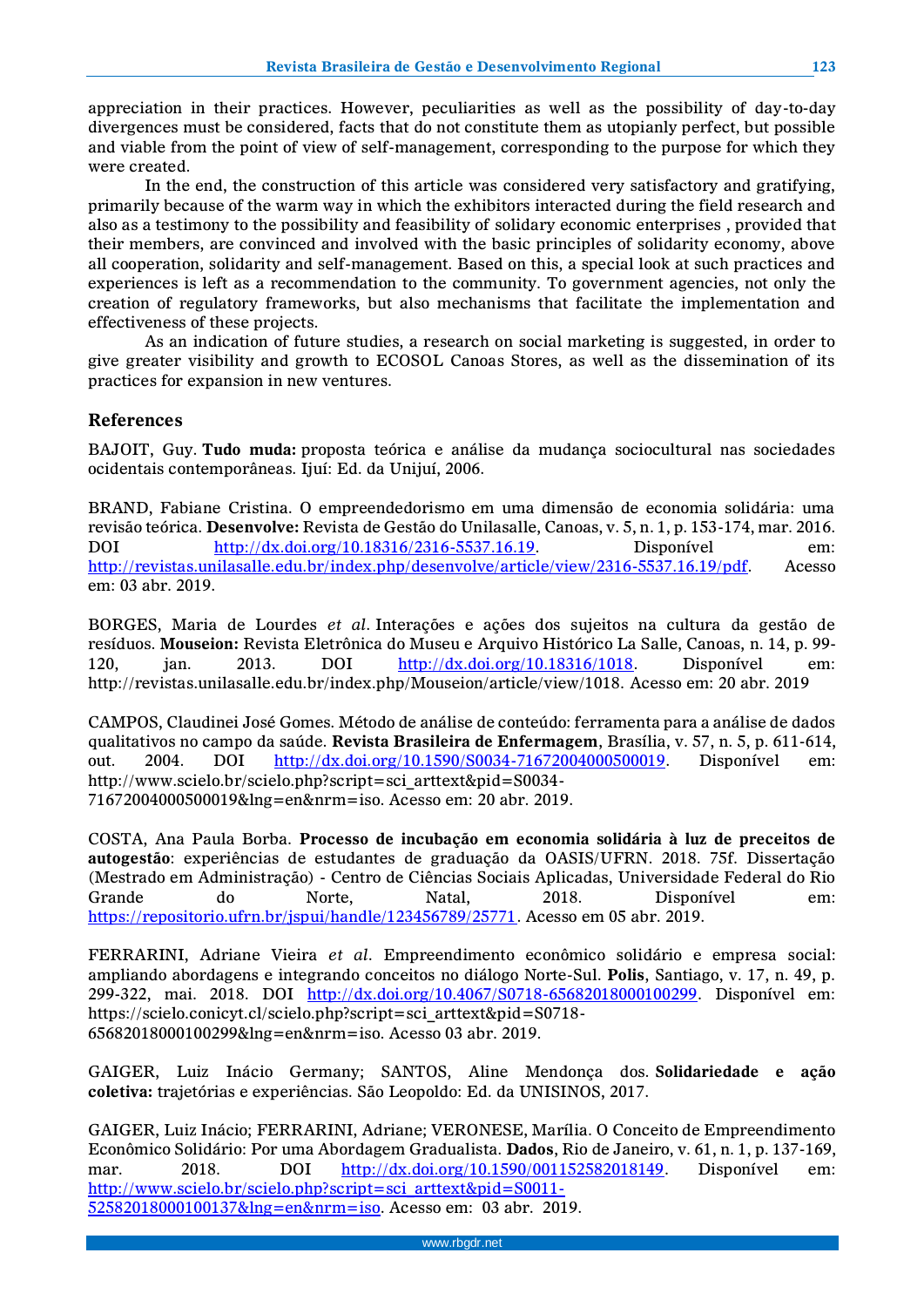appreciation in their practices. However, peculiarities as well as the possibility of day-to-day divergences must be considered, facts that do not constitute them as utopianly perfect, but possible and viable from the point of view of self-management, corresponding to the purpose for which they were created.

In the end, the construction of this article was considered very satisfactory and gratifying, primarily because of the warm way in which the exhibitors interacted during the field research and also as a testimony to the possibility and feasibility of solidary economic enterprises , provided that their members, are convinced and involved with the basic principles of solidarity economy, above all cooperation, solidarity and self-management. Based on this, a special look at such practices and experiences is left as a recommendation to the community. To government agencies, not only the creation of regulatory frameworks, but also mechanisms that facilitate the implementation and effectiveness of these projects.

As an indication of future studies, a research on social marketing is suggested, in order to give greater visibility and growth to ECOSOL Canoas Stores, as well as the dissemination of its practices for expansion in new ventures.

## **References**

BAJOIT, Guy. **Tudo muda:** proposta teórica e análise da mudança sociocultural nas sociedades ocidentais contemporâneas. Ijuí: Ed. da Unijuí, 2006.

BRAND, Fabiane Cristina. O empreendedorismo em uma dimensão de economia solidária: uma revisão teórica. **Desenvolve:** Revista de Gestão do Unilasalle, Canoas, v. 5, n. 1, p. 153-174, mar. 2016. DOI [http://dx.doi.org/10.18316/2316-5537.16.19.](http://dx.doi.org/10.18316/2316-5537.16.19) Disponível em: [http://revistas.unilasalle.edu.br/index.php/desenvolve/article/view/2316-5537.16.19/pdf.](http://revistas.unilasalle.edu.br/index.php/desenvolve/article/view/2316-5537.16.19/pdf) Acesso em: 03 abr. 2019.

BORGES, Maria de Lourdes *et al*. Interações e ações dos sujeitos na cultura da gestão de resíduos. **Mouseion:** Revista Eletrônica do Museu e Arquivo Histórico La Salle, Canoas, n. 14, p. 99- 120, jan. 2013. DOI [http://dx.doi.org/10.18316/1018.](http://dx.doi.org/10.18316/1018) Disponível em: http://revistas.unilasalle.edu.br/index.php/Mouseion/article/view/1018. Acesso em: 20 abr. 2019

CAMPOS, Claudinei José Gomes. Método de análise de conteúdo: ferramenta para a análise de dados qualitativos no campo da saúde. **Revista Brasileira de Enfermagem**, Brasília, v. 57, n. 5, p. 611-614, out. 2004. DOI [http://dx.doi.org/10.1590/S0034-71672004000500019.](http://dx.doi.org/10.1590/S0034-71672004000500019) Disponível em: http://www.scielo.br/scielo.php?script=sci\_arttext&pid=S0034- 71672004000500019&lng=en&nrm=iso. Acesso em: 20 abr. 2019.

COSTA, Ana Paula Borba. **Processo de incubação em economia solidária à luz de preceitos de autogestão**: experiências de estudantes de graduação da OASIS/UFRN. 2018. 75f. Dissertação (Mestrado em Administração) - Centro de Ciências Sociais Aplicadas, Universidade Federal do Rio Grande do Norte, Natal, 2018. Disponível em: [https://repositorio.ufrn.br/jspui/handle/123456789/25771.](https://repositorio.ufrn.br/jspui/handle/123456789/25771) Acesso em 05 abr. 2019.

FERRARINI, Adriane Vieira *et al*. Empreendimento econômico solidário e empresa social: ampliando abordagens e integrando conceitos no diálogo Norte-Sul. **Polis**, Santiago, v. 17, n. 49, p. 299-322, mai. 2018. DOI [http://dx.doi.org/10.4067/S0718-65682018000100299.](http://dx.doi.org/10.4067/S0718-65682018000100299) Disponível em: https://scielo.conicyt.cl/scielo.php?script=sci\_arttext&pid=S0718- 65682018000100299&lng=en&nrm=iso. Acesso 03 abr. 2019.

GAIGER, Luiz Inácio Germany; SANTOS, Aline Mendonça dos. **Solidariedade e ação coletiva:** trajetórias e experiências. São Leopoldo: Ed. da UNISINOS, 2017.

GAIGER, Luiz Inácio; FERRARINI, Adriane; VERONESE, Marília. O Conceito de Empreendimento Econômico Solidário: Por uma Abordagem Gradualista. **Dados**, Rio de Janeiro, v. 61, n. 1, p. 137-169, mar. 2018. DOI [http://dx.doi.org/10.1590/001152582018149.](http://dx.doi.org/10.1590/001152582018149) Disponível em: [http://www.scielo.br/scielo.php?script=sci\\_arttext&pid=S0011-](http://www.scielo.br/scielo.php?script=sci_arttext&pid=S0011-52582018000100137&lng=en&nrm=iso) [52582018000100137&lng=en&nrm=iso.](http://www.scielo.br/scielo.php?script=sci_arttext&pid=S0011-52582018000100137&lng=en&nrm=iso) Acesso em: 03 abr. 2019.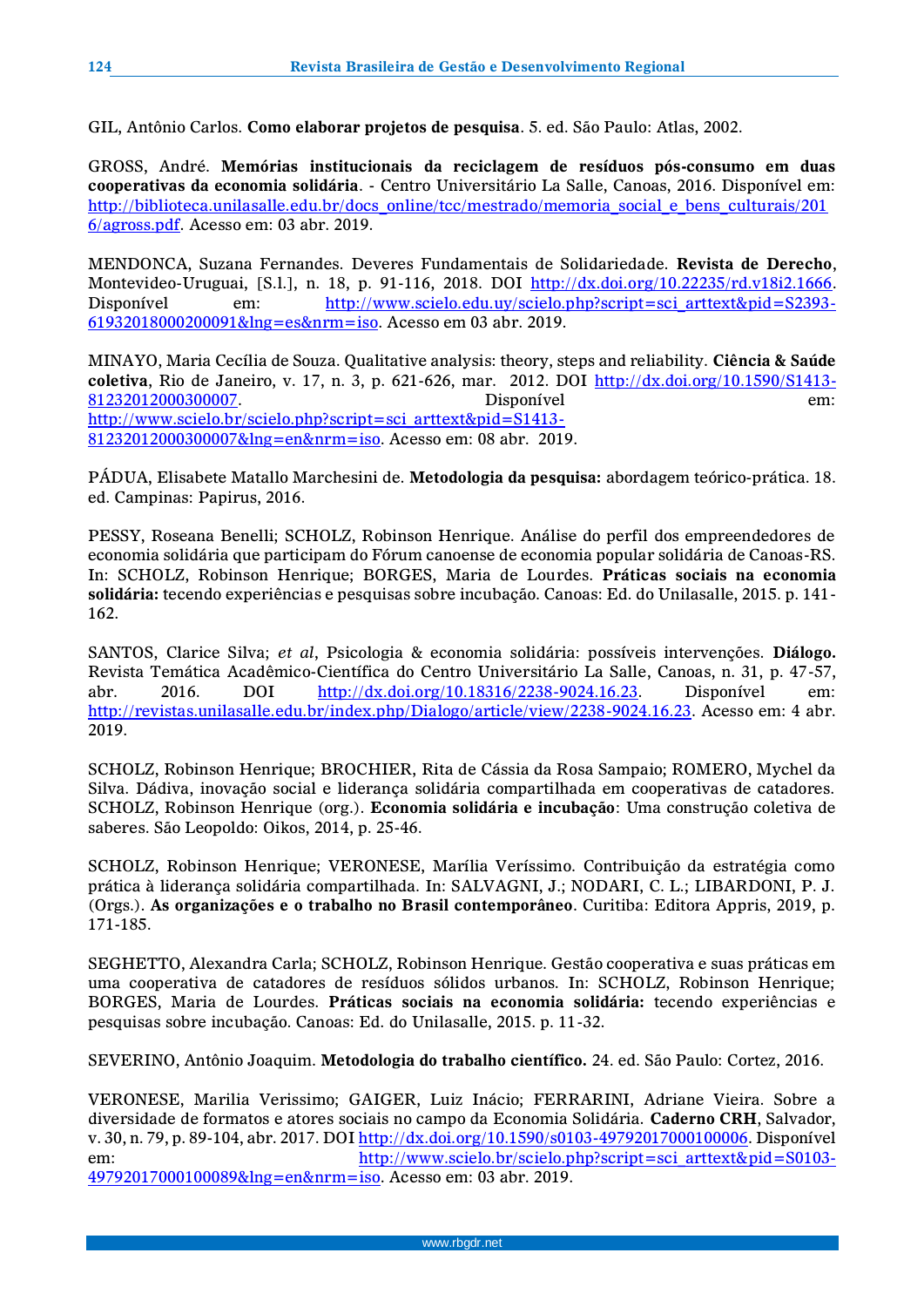GIL, Antônio Carlos. **Como elaborar projetos de pesquisa**. 5. ed. São Paulo: Atlas, 2002.

GROSS, André. **Memórias institucionais da reciclagem de resíduos pós-consumo em duas cooperativas da economia solidária**. - Centro Universitário La Salle, Canoas, 2016. Disponível em: [http://biblioteca.unilasalle.edu.br/docs\\_online/tcc/mestrado/memoria\\_social\\_e\\_bens\\_culturais/201](http://biblioteca.unilasalle.edu.br/docs_online/tcc/mestrado/memoria_social_e_bens_culturais/2016/agross.pdf) [6/agross.pdf.](http://biblioteca.unilasalle.edu.br/docs_online/tcc/mestrado/memoria_social_e_bens_culturais/2016/agross.pdf) Acesso em: 03 abr. 2019.

MENDONCA, Suzana Fernandes. Deveres Fundamentais de Solidariedade. **Revista de Derecho**, Montevideo-Uruguai, [S.l.], n. 18, p. 91-116, 2018. DOI [http://dx.doi.org/10.22235/rd.v18i2.1666.](http://dx.doi.org/10.22235/rd.v18i2.1666) Disponível em: [http://www.scielo.edu.uy/scielo.php?script=sci\\_arttext&pid=S2393-](http://www.scielo.edu.uy/scielo.php?script=sci_arttext&pid=S2393-61932018000200091&lng=es&nrm=iso) [61932018000200091&lng=es&nrm=iso.](http://www.scielo.edu.uy/scielo.php?script=sci_arttext&pid=S2393-61932018000200091&lng=es&nrm=iso) Acesso em 03 abr. 2019.

MINAYO, Maria Cecília de Souza. Qualitative analysis: theory, steps and reliability. **Ciência & Saúde coletiva**, Rio de Janeiro, v. 17, n. 3, p. 621-626, mar. 2012. DOI [http://dx.doi.org/10.1590/S1413-](http://dx.doi.org/10.1590/S1413-81232012000300007) [81232012000300007.](http://dx.doi.org/10.1590/S1413-81232012000300007) Disponível em: [http://www.scielo.br/scielo.php?script=sci\\_arttext&pid=S1413-](http://www.scielo.br/scielo.php?script=sci_arttext&pid=S1413-81232012000300007&lng=en&nrm=iso) [81232012000300007&lng=en&nrm=iso.](http://www.scielo.br/scielo.php?script=sci_arttext&pid=S1413-81232012000300007&lng=en&nrm=iso) Acesso em: 08 abr. 2019.

PÁDUA, Elisabete Matallo Marchesini de. **Metodologia da pesquisa:** abordagem teórico-prática. 18. ed. Campinas: Papirus, 2016.

PESSY, Roseana Benelli; SCHOLZ, Robinson Henrique. Análise do perfil dos empreendedores de economia solidária que participam do Fórum canoense de economia popular solidária de Canoas-RS. In: SCHOLZ, Robinson Henrique; BORGES, Maria de Lourdes. **Práticas sociais na economia solidária:** tecendo experiências e pesquisas sobre incubação. Canoas: Ed. do Unilasalle, 2015. p. 141- 162.

SANTOS, Clarice Silva; *et al*, Psicologia & economia solidária: possíveis intervenções. **Diálogo.** Revista Temática Acadêmico-Científica do Centro Universitário La Salle, Canoas, n. 31, p. 47-57, abr. 2016. DOI [http://dx.doi.org/10.18316/2238-9024.16.23.](http://dx.doi.org/10.18316/2238-9024.16.23) Disponível em: [http://revistas.unilasalle.edu.br/index.php/Dialogo/article/view/2238-9024.16.23.](http://revistas.unilasalle.edu.br/index.php/Dialogo/article/view/2238-9024.16.23) Acesso em: 4 abr. 2019.

SCHOLZ, Robinson Henrique; BROCHIER, Rita de Cássia da Rosa Sampaio; ROMERO, Mychel da Silva. Dádiva, inovação social e liderança solidária compartilhada em cooperativas de catadores. SCHOLZ, Robinson Henrique (org.). **Economia solidária e incubação**: Uma construção coletiva de saberes. São Leopoldo: Oikos, 2014, p. 25-46.

SCHOLZ, Robinson Henrique; VERONESE, Marília Veríssimo. Contribuição da estratégia como prática à liderança solidária compartilhada. In: SALVAGNI, J.; NODARI, C. L.; LIBARDONI, P. J. (Orgs.). **As organizações e o trabalho no Brasil contemporâneo**. Curitiba: Editora Appris, 2019, p. 171-185.

SEGHETTO, Alexandra Carla; SCHOLZ, Robinson Henrique. Gestão cooperativa e suas práticas em uma cooperativa de catadores de resíduos sólidos urbanos. In: SCHOLZ, Robinson Henrique; BORGES, Maria de Lourdes. **Práticas sociais na economia solidária:** tecendo experiências e pesquisas sobre incubação. Canoas: Ed. do Unilasalle, 2015. p. 11-32.

SEVERINO, Antônio Joaquim. **Metodologia do trabalho científico.** 24. ed. São Paulo: Cortez, 2016.

VERONESE, Marilia Verissimo; GAIGER, Luiz Inácio; FERRARINI, Adriane Vieira. Sobre a diversidade de formatos e atores sociais no campo da Economia Solidária. **Caderno CRH**, Salvador, v. 30, n. 79, p. 89-104, abr. 2017. DOI [http://dx.doi.org/10.1590/s0103-49792017000100006.](http://dx.doi.org/10.1590/s0103-49792017000100006) Disponível em: [http://www.scielo.br/scielo.php?script=sci\\_arttext&pid=S0103-](http://www.scielo.br/scielo.php?script=sci_arttext&pid=S0103-49792017000100089&lng=en&nrm=iso) [49792017000100089&lng=en&nrm=iso.](http://www.scielo.br/scielo.php?script=sci_arttext&pid=S0103-49792017000100089&lng=en&nrm=iso) Acesso em: 03 abr. 2019.